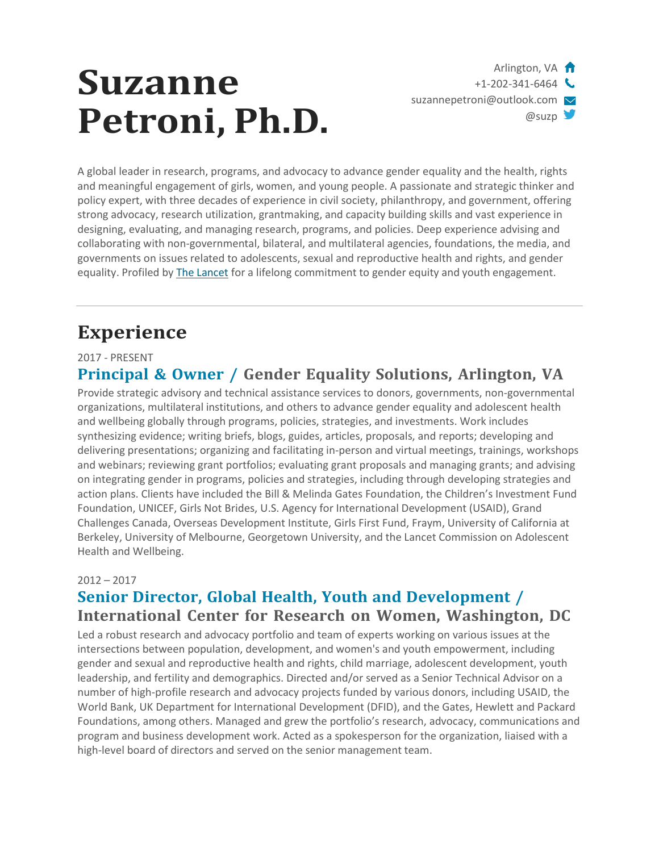# **Suzanne Petroni, Ph.D.**

Arlington, VA **ft**  $+1-202-341-6464$ [suzannepetroni@outlook.com](mailto:suzannepetroni@outlook.com)  $@$ suzp

A global leader in research, programs, and advocacy to advance gender equality and the health, rights and meaningful engagement of girls, women, and young people. A passionate and strategic thinker and policy expert, with three decades of experience in civil society, philanthropy, and government, offering strong advocacy, research utilization, grantmaking, and capacity building skills and vast experience in designing, evaluating, and managing research, programs, and policies. Deep experience advising and collaborating with non-governmental, bilateral, and multilateral agencies, foundations, the media, and governments on issues related to adolescents, sexual and reproductive health and rights, and gender equality. Profiled by The [Lancet](http://www.thelancet.com/journals/lancet/article/PIIS0140-6736(15)00963-0/fulltext?rss=yes) for a lifelong commitment to gender equity and youth engagement.

# **Experience**

#### 2017 - PRESENT **Principal & Owner / Gender Equality Solutions, Arlington, VA**

Provide strategic advisory and technical assistance services to donors, governments, non-governmental organizations, multilateral institutions, and others to advance gender equality and adolescent health and wellbeing globally through programs, policies, strategies, and investments. Work includes synthesizing evidence; writing briefs, blogs, guides, articles, proposals, and reports; developing and delivering presentations; organizing and facilitating in-person and virtual meetings, trainings, workshops and webinars; reviewing grant portfolios; evaluating grant proposals and managing grants; and advising on integrating gender in programs, policies and strategies, including through developing strategies and action plans. Clients have included the Bill & Melinda Gates Foundation, the Children's Investment Fund Foundation, UNICEF, Girls Not Brides, U.S. Agency for International Development (USAID), Grand Challenges Canada, Overseas Development Institute, Girls First Fund, Fraym, University of California at Berkeley, University of Melbourne, Georgetown University, and the Lancet Commission on Adolescent Health and Wellbeing.

#### 2012 – 2017

### **Senior Director, Global Health, Youth and Development / International Center for Research on Women, Washington, DC**

Led a robust research and advocacy portfolio and team of experts working on various issues at the intersections between population, development, and women's and youth empowerment, including gender and sexual and reproductive health and rights, child marriage, adolescent development, youth leadership, and fertility and demographics. Directed and/or served as a Senior Technical Advisor on a number of high-profile research and advocacy projects funded by various donors, including USAID, the World Bank, UK Department for International Development (DFID), and the Gates, Hewlett and Packard Foundations, among others. Managed and grew the portfolio's research, advocacy, communications and program and business development work. Acted as a spokesperson for the organization, liaised with a high-level board of directors and served on the senior management team.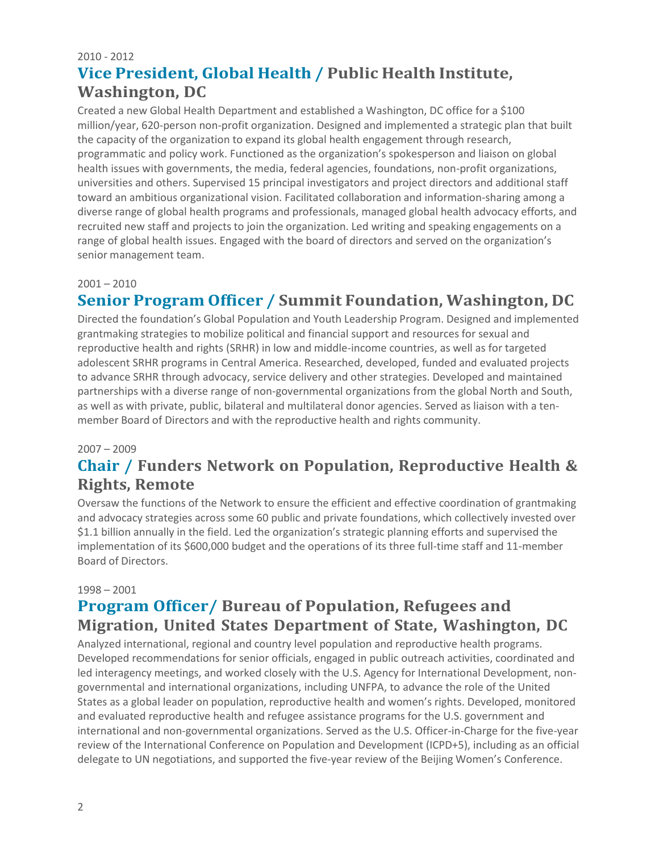### 2010 - 2012 **Vice President, Global Health / Public Health Institute, Washington, DC**

Created a new Global Health Department and established a Washington, DC office for a \$100 million/year, 620-person non-profit organization. Designed and implemented a strategic plan that built the capacity of the organization to expand its global health engagement through research, programmatic and policy work. Functioned as the organization's spokesperson and liaison on global health issues with governments, the media, federal agencies, foundations, non-profit organizations, universities and others. Supervised 15 principal investigators and project directors and additional staff toward an ambitious organizational vision. Facilitated collaboration and information-sharing among a diverse range of global health programs and professionals, managed global health advocacy efforts, and recruited new staff and projects to join the organization. Led writing and speaking engagements on a range of global health issues. Engaged with the board of directors and served on the organization's senior management team.

#### $2001 - 2010$

### **Senior Program Officer / Summit Foundation, Washington, DC**

Directed the foundation's Global Population and Youth Leadership Program. Designed and implemented grantmaking strategies to mobilize political and financial support and resources for sexual and reproductive health and rights (SRHR) in low and middle-income countries, as well as for targeted adolescent SRHR programs in Central America. Researched, developed, funded and evaluated projects to advance SRHR through advocacy, service delivery and other strategies. Developed and maintained partnerships with a diverse range of non-governmental organizations from the global North and South, as well as with private, public, bilateral and multilateral donor agencies. Served as liaison with a tenmember Board of Directors and with the reproductive health and rights community.

#### 2007 – 2009

### **Chair / Funders Network on Population, Reproductive Health & Rights, Remote**

Oversaw the functions of the Network to ensure the efficient and effective coordination of grantmaking and advocacy strategies across some 60 public and private foundations, which collectively invested over \$1.1 billion annually in the field. Led the organization's strategic planning efforts and supervised the implementation of its \$600,000 budget and the operations of its three full-time staff and 11-member Board of Directors.

#### 1998 – 2001

### **Program Officer/ Bureau of Population, Refugees and Migration, United States Department of State, Washington, DC**

Analyzed international, regional and country level population and reproductive health programs. Developed recommendations for senior officials, engaged in public outreach activities, coordinated and led interagency meetings, and worked closely with the U.S. Agency for International Development, nongovernmental and international organizations, including UNFPA, to advance the role of the United States as a global leader on population, reproductive health and women's rights. Developed, monitored and evaluated reproductive health and refugee assistance programs for the U.S. government and international and non-governmental organizations. Served as the U.S. Officer-in-Charge for the five-year review of the International Conference on Population and Development (ICPD+5), including as an official delegate to UN negotiations, and supported the five-year review of the Beijing Women's Conference.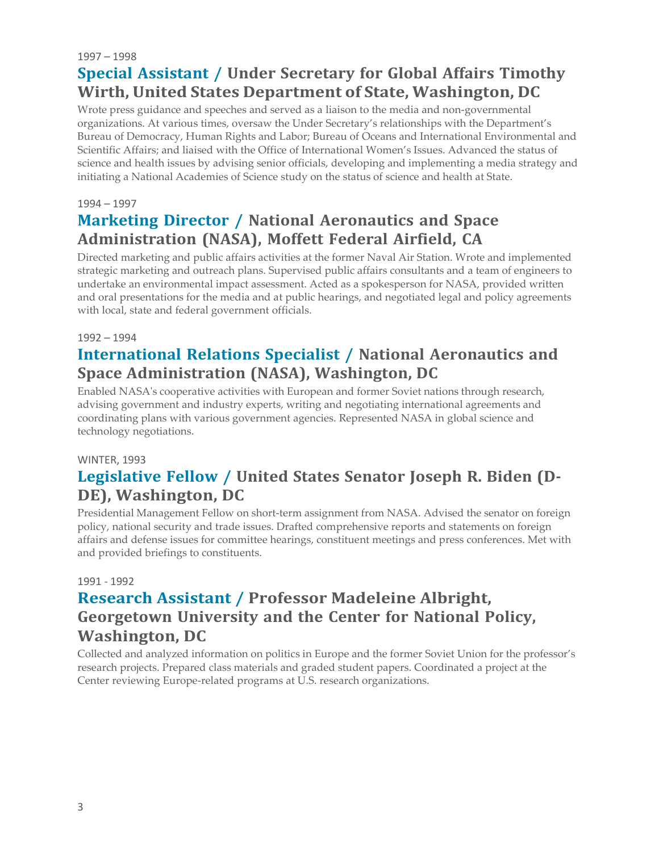#### 1997 – 1998 **Special Assistant / Under Secretary for Global Affairs Timothy Wirth, United States Department of State, Washington, DC**

Wrote press guidance and speeches and served as a liaison to the media and non-governmental organizations. At various times, oversaw the Under Secretary's relationships with the Department's Bureau of Democracy, Human Rights and Labor; Bureau of Oceans and International Environmental and Scientific Affairs; and liaised with the Office of International Women's Issues. Advanced the status of science and health issues by advising senior officials, developing and implementing a media strategy and initiating a National Academies of Science study on the status of science and health at State.

#### 1994 – 1997

### **Marketing Director / National Aeronautics and Space Administration (NASA), Moffett Federal Airfield, CA**

Directed marketing and public affairs activities at the former Naval Air Station. Wrote and implemented strategic marketing and outreach plans. Supervised public affairs consultants and a team of engineers to undertake an environmental impact assessment. Acted as a spokesperson for NASA, provided written and oral presentations for the media and at public hearings, and negotiated legal and policy agreements with local, state and federal government officials.

#### 1992 – 1994

### **International Relations Specialist / National Aeronautics and Space Administration (NASA), Washington, DC**

Enabled NASA's cooperative activities with European and former Soviet nations through research, advising government and industry experts, writing and negotiating international agreements and coordinating plans with various government agencies. Represented NASA in global science and technology negotiations.

#### WINTER, 1993

### **Legislative Fellow / United States Senator Joseph R. Biden (D-DE), Washington, DC**

Presidential Management Fellow on short-term assignment from NASA. Advised the senator on foreign policy, national security and trade issues. Drafted comprehensive reports and statements on foreign affairs and defense issues for committee hearings, constituent meetings and press conferences. Met with and provided briefings to constituents.

#### 1991 - 1992

### **Research Assistant / Professor Madeleine Albright, Georgetown University and the Center for National Policy, Washington, DC**

Collected and analyzed information on politics in Europe and the former Soviet Union for the professor's research projects. Prepared class materials and graded student papers. Coordinated a project at the Center reviewing Europe-related programs at U.S. research organizations.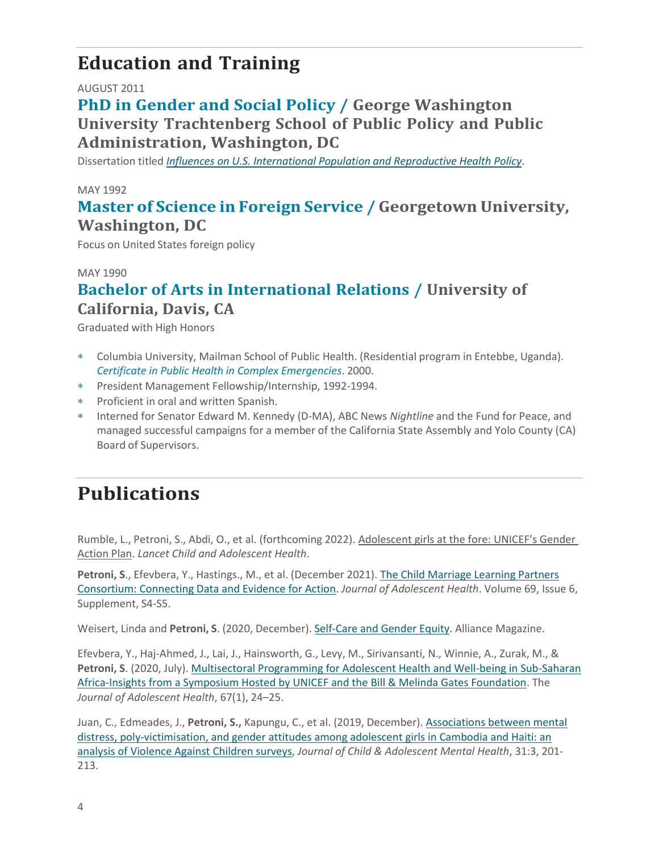## **Education and Training**

#### AUGUST 2011

### **PhD in Gender and Social Policy / George Washington University Trachtenberg School of Public Policy and Public Administration, Washington, DC**

Dissertation titled *[Influences on](https://pqdtopen.proquest.com/doc/883388417.html?FMT=ABS) U.S. International Population and Reproductive Health Policy*.

#### MAY 1992

### **Master of Science in Foreign Service / Georgetown University, Washington, DC**

Focus on United States foreign policy

MAY 1990

### **Bachelor of Arts in International Relations / University of California, Davis, CA**

Graduated with High Honors

- Columbia University, Mailman School of Public Health. (Residential program in Entebbe, Uganda). *Certificate in Public Health in Complex Emergencies*. 2000.
- President Management Fellowship/Internship, 1992-1994.
- Proficient in oral and written Spanish.
- Interned for Senator Edward M. Kennedy (D-MA), ABC News *Nightline* and the Fund for Peace, and managed successful campaigns for a member of the California State Assembly and Yolo County (CA) Board of Supervisors.

# **Publications**

Rumble, L., Petroni, S., Abdi, O., et al. (forthcoming 2022). Adolescent girls at the fore: UNICEF's Gender Action Plan. *Lancet Child and Adolescent Health*.

**Petroni, S**., Efevbera, Y., Hastings., M., et al. (December 2021). [The Child Marriage Learning Partners](https://www.jahonline.org/article/S1054-139X(21)00386-4/fulltext) [Consortium: Connecting Data and Evidence for Action.](https://www.jahonline.org/article/S1054-139X(21)00386-4/fulltext) *Journal of Adolescent Health*. Volume 69, Issue 6, Supplement, S4-S5.

Weisert, Linda and **Petroni, S**. (2020, December). [Self-Care](https://www.alliancemagazine.org/feature/self-care-and-gender-equity/) and Gender Equity. Alliance Magazine.

Efevbera, Y., Haj-Ahmed, J., Lai, J., Hainsworth, G., Levy, M., Sirivansanti, N., Winnie, A., Zurak, M., & Petroni, S. (2020, July)[. Multisectoral Programming for Adolescent Health and Well-being in Sub-Saharan](https://www.ncbi.nlm.nih.gov/pmc/articles/PMC7322518/) [Africa-Insights from a Symposium Hosted by UNICEF and the Bill & Melinda Gates Foundation.](https://www.ncbi.nlm.nih.gov/pmc/articles/PMC7322518/) The *Journal of Adolescent Health*, 67(1), 24–25.

Juan, C., Edmeades, J., **Petroni, S.,** Kapungu, C., et al. (2019, December)[. Associations between mental](https://www.tandfonline.com/doi/abs/10.2989/17280583.2019.1678476?fbclid=IwAR2BPSYjSf8jaA3_Qkz67dGp16aei56Dgu-HEUH9vWmNvpQUXnhW_41DcOU) [distress, poly-victimisation, and gender attitudes among adolescent girls in Cambodia and Haiti: an](https://www.tandfonline.com/doi/abs/10.2989/17280583.2019.1678476?fbclid=IwAR2BPSYjSf8jaA3_Qkz67dGp16aei56Dgu-HEUH9vWmNvpQUXnhW_41DcOU) [analysis of Violence Against Children surveys,](https://www.tandfonline.com/doi/abs/10.2989/17280583.2019.1678476?fbclid=IwAR2BPSYjSf8jaA3_Qkz67dGp16aei56Dgu-HEUH9vWmNvpQUXnhW_41DcOU) *Journal of Child & Adolescent Mental Health*, 31:3, 201- 213.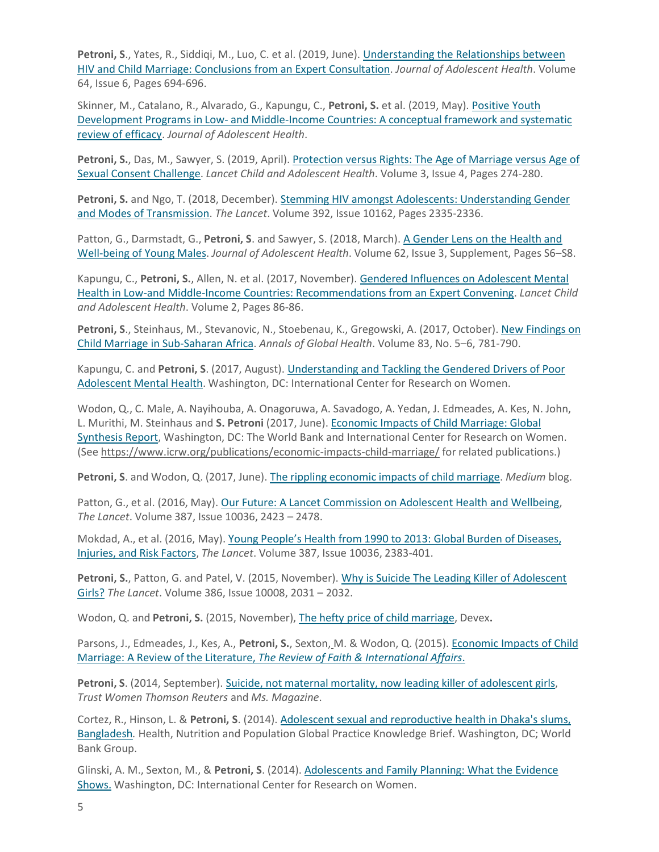**Petroni, S**., Yates, R., Siddiqi, M., Luo, C. et al. (2019, June). [Understanding the Relationships between](https://www.jahonline.org/article/S1054-139X(19)30109-0/fulltext) [HIV and Child Marriage: Conclusions from an Expert Consultation.](https://www.jahonline.org/article/S1054-139X(19)30109-0/fulltext) *Journal of Adolescent Health*. Volume 64, Issue 6, Pages 694-696.

Skinner, M., Catalano, R., Alvarado, G., Kapungu, C., **Petroni, S.** et al. (2019, May)[. Positive Youth](https://linkinghub.elsevier.com/retrieve/pii/S1054139X19300667) Development Programs in Low- and [Middle-Income](https://linkinghub.elsevier.com/retrieve/pii/S1054139X19300667) Countries: A conceptual framework and systematic review [of efficacy.](https://linkinghub.elsevier.com/retrieve/pii/S1054139X19300667) *Journal of Adolescent Health*.

**Petroni, S.**, Das, M., Sawyer, S. (2019, April). [Protection versus Rights: The Age of Marriage versus Age of](https://www.sciencedirect.com/science/article/pii/S2352464218303365?via%3Dihub) Sexual [Consent Challenge.](https://www.sciencedirect.com/science/article/pii/S2352464218303365?via%3Dihub) *Lancet Child and Adolescent Health*. Volume 3, Issue 4, Pages 274-280.

**Petroni, S.** and Ngo, T. (2018, December)[. Stemming HIV amongst Adolescents: Understanding Gender](https://www.thelancet.com/journals/lancet/article/PIIS0140-6736(18)32150-0/fulltext?utm_campaign=wad18&utm_content=80661729&utm_medium=social&utm_source=twitter&hss_channel=tw-27013292) and Modes of [Transmission.](https://www.thelancet.com/journals/lancet/article/PIIS0140-6736(18)32150-0/fulltext?utm_campaign=wad18&utm_content=80661729&utm_medium=social&utm_source=twitter&hss_channel=tw-27013292) *The Lancet*. Volume 392, Issue 10162, Pages 2335-2336.

Patton, G., Darmstadt, G., **Petroni, S**. and Sawyer, S. (2018, March). [A Gender Lens on the Health and](http://www.jahonline.org/article/S1054-139X(17)30321-X/fulltext) [Well-being](http://www.jahonline.org/article/S1054-139X(17)30321-X/fulltext) of Young Males. *Journal of Adolescent Health*. Volume 62, Issue 3, Supplement, Pages S6–S8.

Kapungu, C., **Petroni, S.**, Allen, N. et al. (2017, November). [Gendered Influences on Adolescent Mental](http://www.thelancet.com/pdfs/journals/lanchi/PIIS2352-4642(17)30152-9.pdf) [Health in Low-and Middle-Income Countries: Recommendations from an Expert Convening.](http://www.thelancet.com/pdfs/journals/lanchi/PIIS2352-4642(17)30152-9.pdf) *Lancet Child and Adolescent Health*. Volume 2, Pages 86-86.

Petroni, S., Steinhaus, M., Stevanovic, N., Stoebenau, K., Gregowski, A. (2017, October). [New Findings on](http://www.sciencedirect.com/science/article/pii/S221499961730646X) Child Marriage in [Sub-Saharan](http://www.sciencedirect.com/science/article/pii/S221499961730646X) Africa. *Annals of Global Health*. Volume 83, No. 5–6, 781-790.

Kapungu, C. and **Petroni, S**. (2017, August). [Understanding and Tackling the Gendered Drivers of Poor](https://www.icrw.org/publications/understanding-tackling-gendered-drivers-poor-adolescent-mental-health/) Adolescent [Mental Health.](https://www.icrw.org/publications/understanding-tackling-gendered-drivers-poor-adolescent-mental-health/) Washington, DC: International Center for Research on Women.

Wodon, Q., C. Male, A. Nayihouba, A. Onagoruwa, A. Savadogo, A. Yedan, J. Edmeades, A. Kes, N. John, L. Murithi, M. Steinhaus and **S. Petroni** (2017, June). Economic Impacts of Child Marriage: Global Synthesis Report, Washington, DC: The World Bank and International Center for Research on Women. (See https:/[/www.icrw.org/publications/economic-impacts-child-marriage/](http://www.icrw.org/publications/economic-impacts-child-marriage/) for related publications.)

**Petroni, S**. and Wodon, Q. (2017, June). The rippling [economic](https://medium.com/%40ICRW/the-rippling-economic-impacts-of-child-marriage-2826eb906f91) impacts of child marriage. *Medium* blog.

Patton, G., et al. (2016, May). Our Future: A Lancet [Commission](http://www.thelancet.com/journals/lancet/article/PIIS0140-6736(16)00579-1/fulltext) on Adolescent Health and Wellbeing, *The Lancet*. Volume 387, Issue 10036, 2423 – 2478.

Mokdad, A., et al. (2016, May). Young [People's Health](http://thelancet.com/journals/lancet/article/PIIS0140-6736(16)00648-6/fulltext) from 1990 to 2013: Global Burden of Diseases, [Injuries,](http://thelancet.com/journals/lancet/article/PIIS0140-6736(16)00648-6/fulltext) and Risk Factors, *The Lancet*. Volume 387, Issue 10036, 2383-401.

**Petroni, S.**, Patton, G. and Patel, V. (2015, November). [Why is Suicide The Leading Killer of Adolescent](http://www.thelancet.com/journals/lancet/article/PIIS0140-6736(15)01019-3/fulltext) [Girls?](http://www.thelancet.com/journals/lancet/article/PIIS0140-6736(15)01019-3/fulltext) *The Lancet*. Volume 386, Issue 10008, 2031 – 2032.

Wodon, Q. and **Petroni, S.** (2015, November), The [hefty price of](https://www.devex.com/news/the-hefty-price-of-child-marriage-87327) child marriage, Devex**.**

Parsons, J., Edmeades, J., Kes, A., Petroni, S., Sexton, M. & Wodon, Q. (2015)[. Economic Impacts of Child](http://www.tandfonline.com/doi/full/10.1080/15570274.2015.1075757) Marriage: A Review of the Literature, *The Review of [Faith & International Affairs](http://www.tandfonline.com/doi/full/10.1080/15570274.2015.1075757)*.

**Petroni, S**. (2014, September). Suicide, not maternal mortality, now leading killer of [adolescent](http://news.trust.org/item/20140919194152-9z4fc/?source=fiBlogs) girls, *Trust Women Thomson Reuters* and *Ms. Magazine*.

Cortez, R., Hinson, L. & **Petroni, S**. (2014)[. Adolescent sexual and reproductive health in Dhaka's slums,](http://documents.worldbank.org/curated/en/712551468014450655/Adolescent-sexual-and-reproductive-health-in-Dhakas-slums-Bangladesh) [Bangladesh](http://documents.worldbank.org/curated/en/712551468014450655/Adolescent-sexual-and-reproductive-health-in-Dhakas-slums-Bangladesh)*.* Health, Nutrition and Population Global Practice Knowledge Brief. Washington, DC; World Bank Group.

Glinski, A. M., Sexton, M., & **Petroni, S**. (2014)[. Adolescents and Family Planning:](https://www.icrw.org/publications/adolescents-and-family-planning-what-the-evidence-shows-synthesis/) What the Evidence [Shows.](https://www.icrw.org/publications/adolescents-and-family-planning-what-the-evidence-shows-synthesis/) Washington, DC: International Center for Research on Women.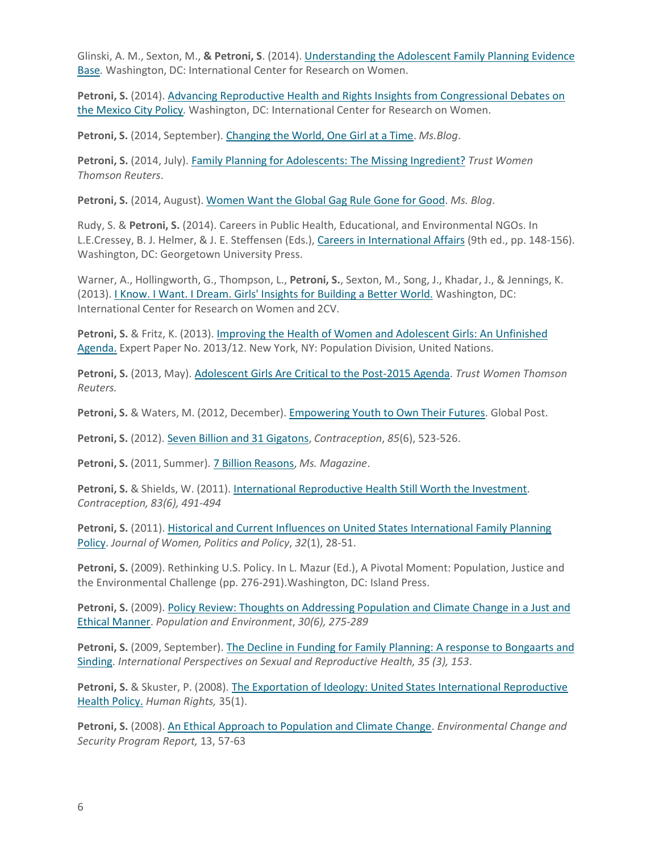Glinski, A. M., Sexton, M., **& Petroni, S**. (2014). [Understanding the Adolescent Family Planning Evidence](https://www.icrw.org/publications/understanding-the-adolescent-family-planning-evidence-base-review-of-literature/) [Base](https://www.icrw.org/publications/understanding-the-adolescent-family-planning-evidence-base-review-of-literature/)*.* Washington, DC: International Center for Research on Women.

**Petroni, S.** (2014). [Advancing Reproductive Health and Rights Insights from Congressional Debates on](https://www.icrw.org/publications/advancing-reproductive-health-and-rights/) the [Mexico](https://www.icrw.org/publications/advancing-reproductive-health-and-rights/) City Policy*.* Washington, DC: International Center for Research on Women.

**Petroni, S.** (2014, September). [Changing](http://msmagazine.com/blog/2014/09/04/changing-the-world-one-girl-at-a-time/) the World, One Girl at a Time. *Ms.Blog*.

**Petroni, S.** (2014, July). [Family Planning for Adolescents:](http://www.trust.org/item/20140721184920-fa7uy/) The Missing Ingredient? *Trust Women Thomson Reuters*.

**Petroni, S.** (2014, August). Women Want the Global Gag Rule [Gone for](http://msmagazine.com/blog/2014/08/11/women-want-the-global-gag-rule-gone-for-good/) Good. *Ms. Blog*.

Rudy, S. & **Petroni, S.** (2014). Careers in Public Health, Educational, and Environmental NGOs. In L.E.Cressey, B. J. Helmer, & J. E. Steffensen (Eds.), [Careers in International Affairs](http://press.georgetown.edu/book/georgetown/careers-international-affairs) (9th ed., pp. 148-156). Washington, DC: Georgetown University Press.

Warner, A., Hollingworth, G., Thompson, L., **Petroni, S.**, Sexton, M., Song, J., Khadar, J., & Jennings, K. (2013). [I Know. I Want. I Dream. Girls' Insights for Building a Better World.](https://www.icrw.org/publications/i-know-i-want-i-dream/) Washington, DC: International Center for Research on Women and 2CV.

**Petroni, S.** & Fritz, K. (2013). [Improving the Health of Women and Adolescent Girls:](http://www.un.org/en/development/desa/population/publications/pdf/expert/2013-12_Petroni-and-Fritz.pdf) An Unfinished [Agenda.](http://www.un.org/en/development/desa/population/publications/pdf/expert/2013-12_Petroni-and-Fritz.pdf) Expert Paper No. 2013/12. New York, NY: Population Division, United Nations.

**Petroni, S.** (2013, May)[. Adolescent Girls Are Critical to the Post-2015 Agenda.](http://www.trust.org/item/20130531140410-vgxie/?source=search) *Trust Women Thomson Reuters.*

**Petroni, S.** & Waters, M. (2012, December). [Empowering](http://www.globalpost.com/dispatches/globalpost-blogs/global-pulse/op-ed-empowering-youth-bali-global-youth-forum) Youth to Own Their Futures. Global Post.

**Petroni, S.** (2012). Seven Billion and 31 [Gigatons,](http://www.arhp.org/Publications-and-Resources/Contraception-Journal/June-2012) *Contraception*, *85*(6), 523-526.

**Petroni, S.** (2011, Summer). 7 Billion [Reasons,](http://www.msmagazine.com/summer2011/7billionreasons.asp) *Ms. Magazine*.

**Petroni, S.** & Shields, W. (2011). International Reproductive Health Still Worth [the Investment.](http://www.arhp.org/publications-and-resources/contraception-journal/june-2011) *Contraception, 83(6), 491-494*

**Petroni, S.** (2011). [Historical and Current Influences on United States International Family Planning](http://www.tandfonline.com/doi/abs/10.1080/1554477X.2011.537901) [Policy.](http://www.tandfonline.com/doi/abs/10.1080/1554477X.2011.537901) *Journal of Women, Politics and Policy*, *32*(1), 28-51.

Petroni, S. (2009). Rethinking U.S. Policy. In L. Mazur (Ed.), A Pivotal Moment: Population, Justice and the Environmental Challenge (pp. 276-291).Washington, DC: Island Press.

**Petroni, S.** (2009). [Policy Review: Thoughts on Addressing Population and Climate Change in a Just and](https://www.jstor.org/stable/40587567?seq=1&page_scan_tab_contents) Ethical [Manner.](https://www.jstor.org/stable/40587567?seq=1&page_scan_tab_contents) *Population and Environment*, *30(6), 275-289*

**Petroni, S.** (2009, September). [The Decline in Funding for Family Planning: A response to Bongaarts and](https://www.guttmacher.org/journals/ipsrh/2009/09/decline-funding-family-planning) [Sinding.](https://www.guttmacher.org/journals/ipsrh/2009/09/decline-funding-family-planning) *International Perspectives on Sexual and Reproductive Health, 35 (3), 153*.

Petroni, S. & Skuster, P. (2008). [The Exportation of Ideology: United States International Reproductive](http://www.americanbar.org/publications/human_rights_magazine_home/human_rights_vol35_2008/human_rights_winter2008/hr_winter08_petroni_skuster.html) [Health](http://www.americanbar.org/publications/human_rights_magazine_home/human_rights_vol35_2008/human_rights_winter2008/hr_winter08_petroni_skuster.html) Policy. *Human Rights,* 35(1).

**Petroni, S.** (2008). [An Ethical Approach to Population and Climate Change.](https://www.wilsoncenter.org/publication/ethical-approach-to-population-and-climate-change) *Environmental Change and Security Program Report,* 13, 57-63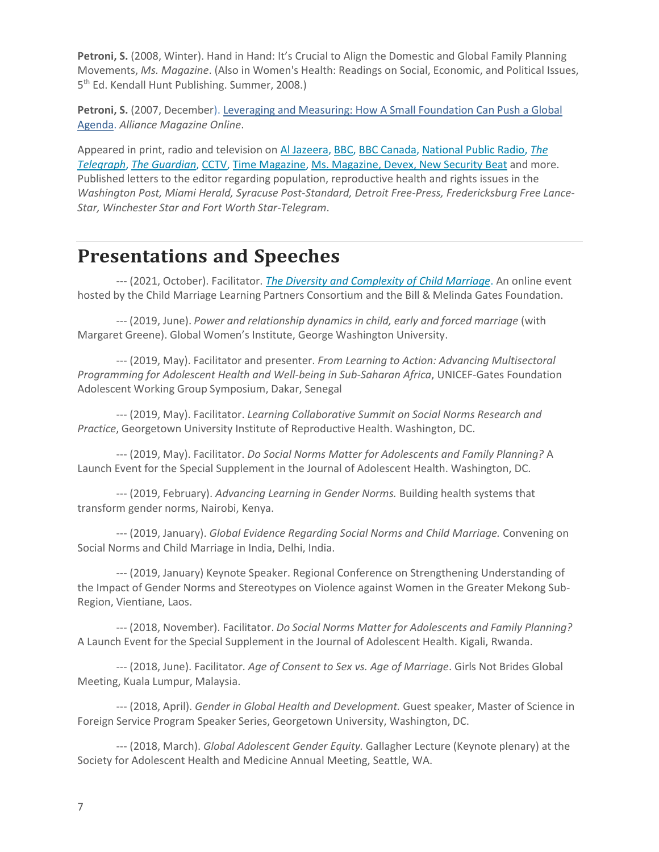Petroni, S. (2008, Winter). Hand in Hand: It's Crucial to Align the Domestic and Global Family Planning Movements, *Ms. Magazine*. (Also in Women's Health: Readings on Social, Economic, and Political Issues, 5<sup>th</sup> Ed. Kendall Hunt Publishing. Summer, 2008.)

**Petroni, S.** (2007, December). [Leveraging and Measuring: How A Small Foundation Can Push a Global](https://www.alliancemagazine.org/analysis/leveraging-and-measuring-how-a-small-foundation-can-push-a-global-agenda/) [Agenda.](https://www.alliancemagazine.org/analysis/leveraging-and-measuring-how-a-small-foundation-can-push-a-global-agenda/) *Alliance Magazine Online*.

Appeared in print, radio and television o[n Al Jazeera,](https://vimeo.com/131126351) [BBC,](http://www.bbc.com/news/magazine-37804539) [BBC Canada,](http://www.bbc.com/news/world-us-canada-39210463) [National Public Radio,](http://www.npr.org/sections/goatsandsoda/2015/06/02/409731413/suicide-no-1-cause-of-death-for-older-teen-girls) *[The](http://www.telegraph.co.uk/women/womens-health/11549954/Teen-girls-Suicide-kills-more-young-women-than-anything.-Heres-why.html) [Telegraph](http://www.telegraph.co.uk/women/womens-health/11549954/Teen-girls-Suicide-kills-more-young-women-than-anything.-Heres-why.html)*, *[The Guardian](http://www.theguardian.com/commentisfree/2015/may/28/worldwide-sexism-increases-suicide-risk-in-young-women)*[, CCTV,](https://www.youtube.com/watch?v=Kf0IdxU5K6Q) [Time Magazine,](http://time.com/4706710/global-gag-rule-extremism-terrorism-security/) [Ms. Magazine,](http://msmagazine.com/blog/author/suzannepetroni/) [Devex,](https://www.devex.com/news/child-marriage-set-to-cost-developing-countries-billions-of-dollars-by-2030-90554) New Securit[y Beat](https://www.newsecuritybeat.org/2017/08/economic-costs-child-marriage/) and more. Published letters to the editor regarding population, reproductive health and rights issues in the *Washington Post, Miami Herald, Syracuse Post-Standard, Detroit Free-Press, Fredericksburg Free Lance-Star, Winchester Star and Fort Worth Star-Telegram*.

### **Presentations and Speeches**

--- (2021, October). Facilitator. *[The Diversity and Complexity of Child Marriage](https://www.girlsnotbrides.org/learning-resources/resource-centre/the-diversity-and-complexity-of-child-marriage-webinar/)*. An online event hosted by the Child Marriage Learning Partners Consortium and the Bill & Melinda Gates Foundation.

--- (2019, June). *Power and relationship dynamics in child, early and forced marriage* (with Margaret Greene). Global Women's Institute, George Washington University.

--- (2019, May). Facilitator and presenter. *From Learning to Action: Advancing Multisectoral Programming for Adolescent Health and Well-being in Sub-Saharan Africa*, UNICEF-Gates Foundation Adolescent Working Group Symposium, Dakar, Senegal

--- (2019, May). Facilitator. *Learning Collaborative Summit on Social Norms Research and Practice*, Georgetown University Institute of Reproductive Health. Washington, DC.

--- (2019, May). Facilitator. *Do Social Norms Matter for Adolescents and Family Planning?* A Launch Event for the Special Supplement in the Journal of Adolescent Health. Washington, DC.

--- (2019, February). *Advancing Learning in Gender Norms.* Building health systems that transform gender norms, Nairobi, Kenya.

--- (2019, January). *Global Evidence Regarding Social Norms and Child Marriage.* Convening on Social Norms and Child Marriage in India, Delhi, India.

--- (2019, January) Keynote Speaker. Regional Conference on Strengthening Understanding of the Impact of Gender Norms and Stereotypes on Violence against Women in the Greater Mekong Sub-Region, Vientiane, Laos.

--- (2018, November). Facilitator. *Do Social Norms Matter for Adolescents and Family Planning?* A Launch Event for the Special Supplement in the Journal of Adolescent Health. Kigali, Rwanda.

--- (2018, June). Facilitator*. Age of Consent to Sex vs. Age of Marriage*. Girls Not Brides Global Meeting, Kuala Lumpur, Malaysia.

--- (2018, April). *Gender in Global Health and Development.* Guest speaker, Master of Science in Foreign Service Program Speaker Series, Georgetown University, Washington, DC.

--- (2018, March). *Global Adolescent Gender Equity.* Gallagher Lecture (Keynote plenary) at the Society for Adolescent Health and Medicine Annual Meeting, Seattle, WA.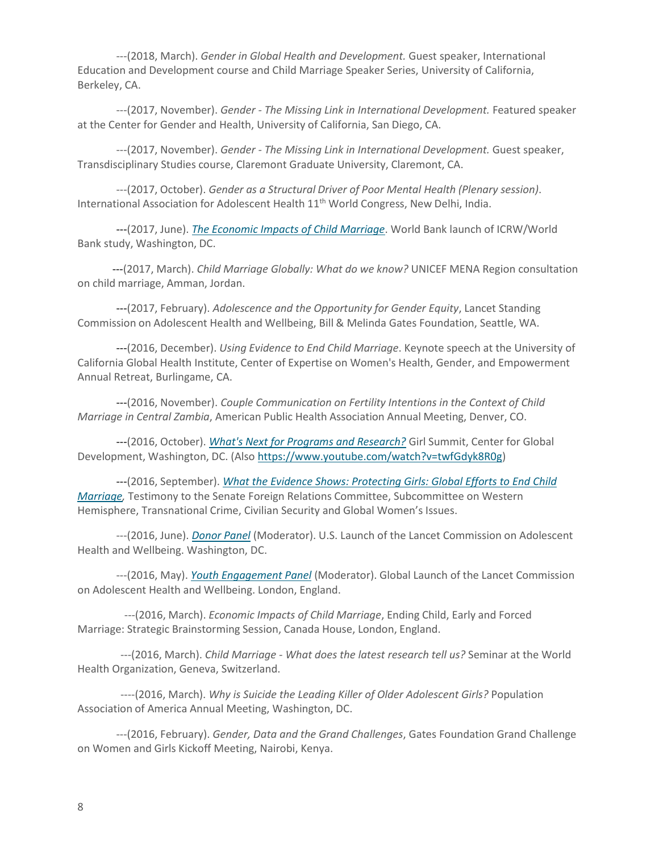---(2018, March). *Gender in Global Health and Development.* Guest speaker, International Education and Development course and Child Marriage Speaker Series, University of California, Berkeley, CA.

---(2017, November). *Gender - The Missing Link in International Development.* Featured speaker at the Center for Gender and Health, University of California, San Diego, CA.

---(2017, November). *Gender - The Missing Link in International Development.* Guest speaker, Transdisciplinary Studies course, Claremont Graduate University, Claremont, CA.

---(2017, October). *Gender as a Structural Driver of Poor Mental Health (Plenary session)*. International Association for Adolescent Health 11<sup>th</sup> World Congress, New Delhi, India.

---(2017, June). *[The Economic Impacts of Child Marriage](http://live.worldbank.org/costs-of-child-marriage)*. World Bank launch of ICRW/World Bank study, Washington, DC.

---(2017, March). *Child Marriage Globally: What do we know?* UNICEF MENA Region consultation on child marriage, Amman, Jordan.

---(2017, February). *Adolescence and the Opportunity for Gender Equity*, Lancet Standing Commission on Adolescent Health and Wellbeing, Bill & Melinda Gates Foundation, Seattle, WA.

---(2016, December). *Using Evidence to End Child Marriage*. Keynote speech at the University of California Global Health Institute, Center of Expertise on Women's Health, Gender, and Empowerment Annual Retreat, Burlingame, CA.

---(2016, November). *Couple Communication on Fertility Intentions in the Context of Child Marriage in Central Zambia*, American Public Health Association Annual Meeting, Denver, CO.

---(2016, October). *[What's Next for Programs and Research?](https://www.cgdev.org/event/girl-summit-dc-2016-keeping-our-promises-adolescent-girls)* Girl Summit, Center for Global Development, Washington, DC. (Also [https://www.youtube.com/watch?v=twfGdyk8R0g\)](https://www.youtube.com/watch?v=twfGdyk8R0g)

---(2016, September). *[What the Evidence Shows: Protecting Girls: Global Efforts to End Child](https://www.foreign.senate.gov/hearings/protecting-girls-global-efforts-to-end-child-marriage-091416) [Marriage,](https://www.foreign.senate.gov/hearings/protecting-girls-global-efforts-to-end-child-marriage-091416)* Testimony to the Senate Foreign Relations Committee, Subcommittee on Western Hemisphere, Transnational Crime, Civilian Security and Global Women's Issues.

---(2016, June). *[Donor Panel](https://www.youtube.com/watch?v=LpO6YPJxQfI)* (Moderator). U.S. Launch of the Lancet Commission on Adolescent Health and Wellbeing. Washington, DC.

---(2016, May). *[Youth Engagement Panel](http://www.ucl.ac.uk/live/thelancetyouth)* (Moderator). Global Launch of the Lancet Commission on Adolescent Health and Wellbeing. London, England.

---(2016, March). *Economic Impacts of Child Marriage*, Ending Child, Early and Forced Marriage: Strategic Brainstorming Session, Canada House, London, England.

---(2016, March). *Child Marriage - What does the latest research tell us?* Seminar at the World Health Organization, Geneva, Switzerland.

----(2016, March). *Why is Suicide the Leading Killer of Older Adolescent Girls?* Population Association of America Annual Meeting, Washington, DC.

---(2016, February). *Gender, Data and the Grand Challenges*, Gates Foundation Grand Challenge on Women and Girls Kickoff Meeting, Nairobi, Kenya.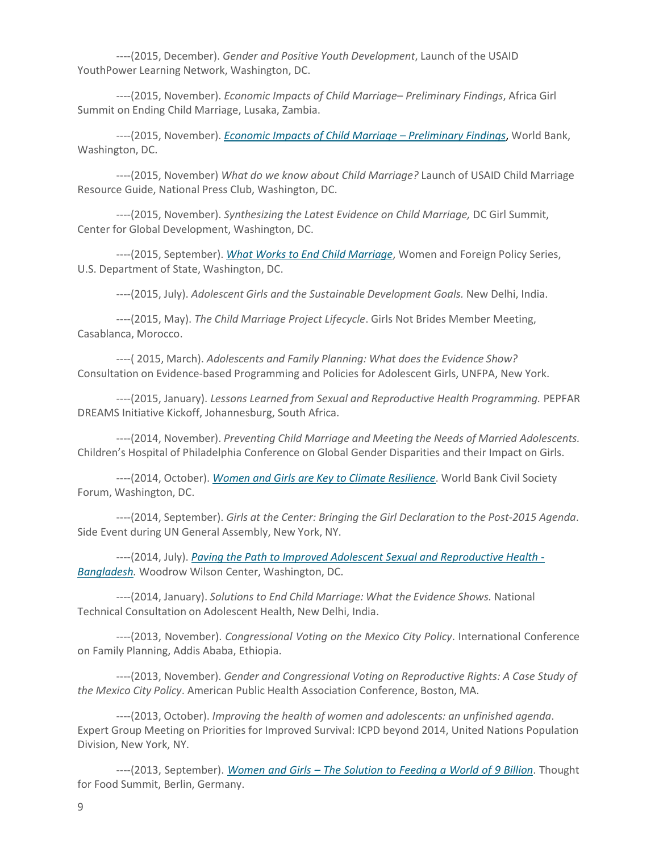----(2015, December). *Gender and Positive Youth Development*, Launch of the USAID YouthPower Learning Network, Washington, DC.

----(2015, November). *Economic Impacts of Child Marriage– Preliminary Findings*, Africa Girl Summit on Ending Child Marriage, Lusaka, Zambia.

----(2015, November). *[Economic Impacts of Child Marriage](http://live.worldbank.org/economic-social-impacts-child-marriage) – Preliminary Findings*, World Bank, Washington, DC.

----(2015, November) *What do we know about Child Marriage?* Launch of USAID Child Marriage Resource Guide, National Press Club, Washington, DC.

----(2015, November). *Synthesizing the Latest Evidence on Child Marriage,* DC Girl Summit, Center for Global Development, Washington, DC.

----(2015, September). *What Works to End Child [Marriage](http://www.state.gov/s/gwi/events/endearlyforcedmarriage/index.htm)*, Women and Foreign Policy Series, U.S. Department of State, Washington, DC.

----(2015, July). *Adolescent Girls and the Sustainable Development Goals.* New Delhi, India.

----(2015, May). *The Child Marriage Project Lifecycle*. Girls Not Brides Member Meeting, Casablanca, Morocco.

----( 2015, March). *Adolescents and Family Planning: What does the Evidence Show?* Consultation on Evidence-based Programming and Policies for Adolescent Girls, UNFPA, New York.

----(2015, January). *Lessons Learned from Sexual and Reproductive Health Programming.* PEPFAR DREAMS Initiative Kickoff, Johannesburg, South Africa.

----(2014, November). *Preventing Child Marriage and Meeting the Needs of Married Adolescents.* Children's Hospital of Philadelphia Conference on Global Gender Disparities and their Impact on Girls.

----(2014, October). *[Women and Girls are Key to Climate Resilience](http://www.aspeninstitute.org/about/blog/why-women-are-key-to-addressing-climate-change-hunger-health-and-development)*. World Bank Civil Society Forum, Washington, DC.

----(2014, September). *Girls at the Center: Bringing the Girl Declaration to the Post-2015 Agenda*. Side Event during UN General Assembly, New York, NY.

----(2014, July). *[Paving the Path to Improved Adolescent Sexual and Reproductive Health -](https://www.wilsoncenter.org/event/underage-addressing-reproductive-health-and-hiv-married-adolescents) [Bangladesh.](https://www.wilsoncenter.org/event/underage-addressing-reproductive-health-and-hiv-married-adolescents)* Woodrow Wilson Center, Washington, DC.

----(2014, January). *Solutions to End Child Marriage: What the Evidence Shows.* National Technical Consultation on Adolescent Health, New Delhi, India.

----(2013, November). *Congressional Voting on the Mexico City Policy*. International Conference on Family Planning, Addis Ababa, Ethiopia.

----(2013, November). *Gender and Congressional Voting on Reproductive Rights: A Case Study of the Mexico City Policy*. American Public Health Association Conference, Boston, MA.

----(2013, October). *Improving the health of women and adolescents: an unfinished agenda*. Expert Group Meeting on Priorities for Improved Survival: ICPD beyond 2014, United Nations Population Division, New York, NY.

----(2013, September). *Women and Girls – The [Solution](https://vimeo.com/97067308) to Feeding a World of 9 Billion*. Thought for Food Summit, Berlin, Germany.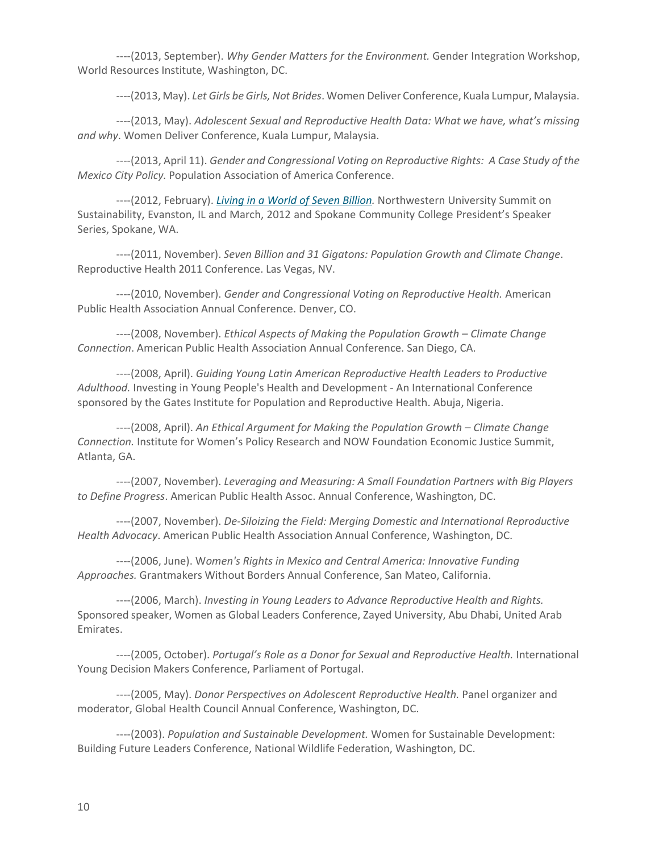----(2013, September). *Why Gender Matters for the Environment.* Gender Integration Workshop, World Resources Institute, Washington, DC.

----(2013, May). *Let Girls beGirls, Not Brides*. Women Deliver Conference, Kuala Lumpur, Malaysia.

----(2013, May). *Adolescent Sexual and Reproductive Health Data: What we have, what's missing and why*. Women Deliver Conference, Kuala Lumpur, Malaysia.

----(2013, April 11). *Gender and Congressional Voting on Reproductive Rights: A Case Study of the Mexico City Policy.* Population Association of America Conference.

----(2012, February). *[Living in a World of Seven Billion.](http://sites.scc.spokane.edu/video/?p=HFCH___2012-02-23&t=flv)* Northwestern University Summit on Sustainability, Evanston, IL and March, 2012 and Spokane Community College President's Speaker Series, Spokane, WA.

----(2011, November). *Seven Billion and 31 Gigatons: Population Growth and Climate Change*. Reproductive Health 2011 Conference. Las Vegas, NV.

----(2010, November). *Gender and Congressional Voting on Reproductive Health.* American Public Health Association Annual Conference. Denver, CO.

----(2008, November). *Ethical Aspects of Making the Population Growth – Climate Change Connection*. American Public Health Association Annual Conference. San Diego, CA.

----(2008, April). *Guiding Young Latin American Reproductive Health Leaders to Productive Adulthood.* Investing in Young People's Health and Development - An International Conference sponsored by the Gates Institute for Population and Reproductive Health. Abuja, Nigeria.

----(2008, April). *An Ethical Argument for Making the Population Growth – Climate Change Connection.* Institute for Women's Policy Research and NOW Foundation Economic Justice Summit, Atlanta, GA.

----(2007, November). *Leveraging and Measuring: A Small Foundation Partners with Big Players to Define Progress*. American Public Health Assoc. Annual Conference, Washington, DC.

----(2007, November). *De-Siloizing the Field: Merging Domestic and International Reproductive Health Advocacy*. American Public Health Association Annual Conference, Washington, DC.

----(2006, June). W*omen's Rights in Mexico and Central America: Innovative Funding Approaches.* Grantmakers Without Borders Annual Conference, San Mateo, California.

----(2006, March). *Investing in Young Leaders to Advance Reproductive Health and Rights.* Sponsored speaker, Women as Global Leaders Conference, Zayed University, Abu Dhabi, United Arab Emirates.

----(2005, October). *Portugal's Role as a Donor for Sexual and Reproductive Health.* International Young Decision Makers Conference, Parliament of Portugal.

----(2005, May). *Donor Perspectives on Adolescent Reproductive Health.* Panel organizer and moderator, Global Health Council Annual Conference, Washington, DC.

----(2003). *Population and Sustainable Development.* Women for Sustainable Development: Building Future Leaders Conference, National Wildlife Federation, Washington, DC.